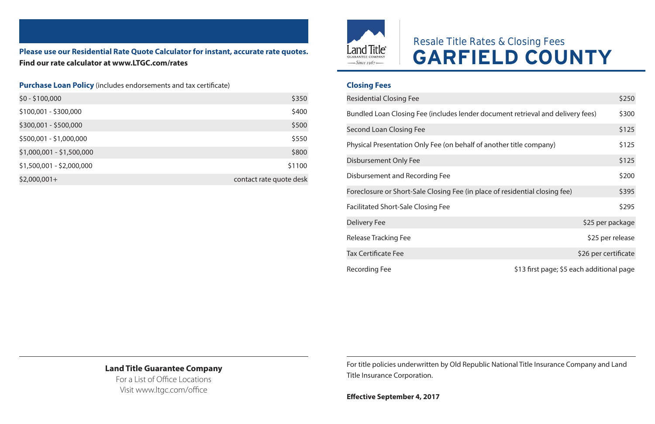**Please use our Residential Rate Quote Calculator for instant, accurate rate quotes. Find our rate calculator at www.LTGC.com/rates**

#### **Purchase Loan Policy** (includes endorsements and tax certificate)

| \$0 - \$100,000           | \$350                   |
|---------------------------|-------------------------|
| \$100,001 - \$300,000     | \$400                   |
| \$300,001 - \$500,000     | \$500                   |
| \$500,001 - \$1,000,000   | \$550                   |
| \$1,000,001 - \$1,500,000 | \$800                   |
| \$1,500,001 - \$2,000,000 | \$1100                  |
| $$2,000,001+$             | contact rate quote desk |



# Resale Title Rates & Closing Fees **GARFIELD COUNTY**

#### **Closing Fees**

| <b>Residential Closing Fee</b>                                                  | \$250                                     |
|---------------------------------------------------------------------------------|-------------------------------------------|
| Bundled Loan Closing Fee (includes lender document retrieval and delivery fees) | \$300                                     |
| Second Loan Closing Fee                                                         | \$125                                     |
| Physical Presentation Only Fee (on behalf of another title company)             | \$125                                     |
| Disbursement Only Fee                                                           | \$125                                     |
| Disbursement and Recording Fee                                                  | \$200                                     |
| Foreclosure or Short-Sale Closing Fee (in place of residential closing fee)     | \$395                                     |
| <b>Facilitated Short-Sale Closing Fee</b>                                       | \$295                                     |
| <b>Delivery Fee</b>                                                             | \$25 per package                          |
| Release Tracking Fee                                                            | \$25 per release                          |
| <b>Tax Certificate Fee</b>                                                      | \$26 per certificate                      |
| Recording Fee                                                                   | \$13 first page; \$5 each additional page |

### **Land Title Guarantee Company**

For a List of Office Locations Visit www.ltgc.com/office

For title policies underwritten by Old Republic National Title Insurance Company and Land Title Insurance Corporation.

**Effective September 4, 2017**